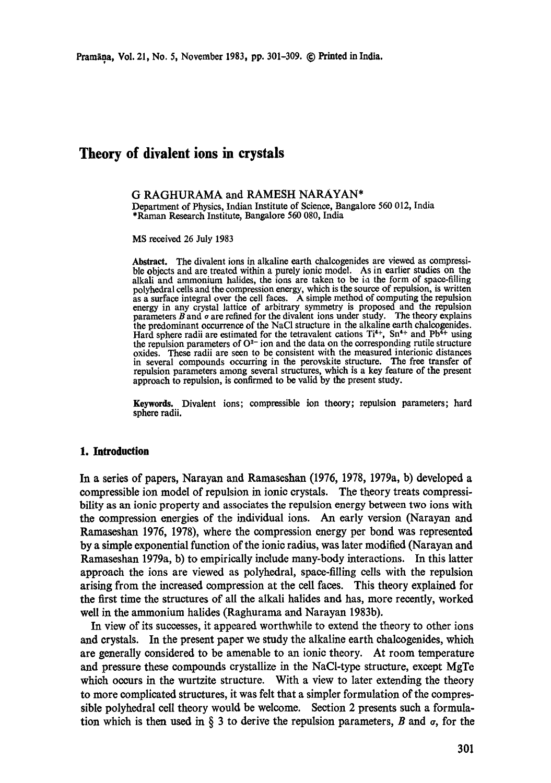# **Theory of divalent ions in crystals**

## **G RAGHURAMA and RAMESH NARAYAN\***

Department of Physics, Indian Institute of Science, Bangalore 560 012, India \*Raman Research Institute, Bangalore 560 080, India

MS received 26 July 1983

Abstract. The divalent ions in alkaline earth chalcogenides are viewed as compressible objects and are treated within a purely ionic model. As in earlier studies on the alkali and ammonium halides, the ions are taken to be ia the form of space-filling polyhedral cells and the compression energy, which is the source of repulsion, is written as a surface integral over the cell faces. A simple method of computing the repulsion energy in any crystal lattice of arbitrary symmetry is proposed and the repulsion parameters  $\vec{B}$  and  $\sigma$  are refined for the divalent ions under study. The theory explains the predominant occurrence of the NaCI structure in the alkaline earth chalcogenides. Hard sphere radii are estimated for the tetravalent cations  $Ti^{4+}$ ,  $Sn^{4+}$  and  $Pb^{4+}$  using the repulsion parameters of  $O^{2-}$  ion and the data on the corresponding rutile structure oxides. These radii are seen to be consistent with the measured interionic distances in several compounds occurring in the perovskite structure. The free transfer of repulsion parameters among several structures, which is a key feature of the **present**  approach to repulsion, is confirmed to be valid by the present study.

**Keywords.** Divalent ions; compressible ion theory; repulsion parameters; hard sphere radii.

#### **1. Introduction**

In a series of papers, Narayan and Ramaseshan (1976, 1978, 1979a, b) developed a compressible ion model of repulsion in ionic crystals. The theory treats compressibility **as an** ionic property and associates the repulsion energy between two ions with the compression energies of the individual ions. An early version (Narayan **and**  Ramaseshan 1976, 1978), where the compression energy per bond was represented by a simple exponential function of the ionic radius, was later modified (Narayan and Ramaseshan 1979a, b) to empirically include many-body interactions. In this latter approach the ions are viewed as polyhedral, space-filling cells with the repulsion arising from the increased compression at the cell faces. This theory explained for the first time the structures of all the alkali halides and has, more recently, worked well in the ammonium halides (Raghurama and Narayan 1983b).

In view of its successes, it appeared worthwhile to extend the theory to other ions **and** crystals. In the present paper we study the alkaline earth chalcogenides, which **are** generally considered to be amenable to an ionic theory. At room temperature and pressure these compounds crystallize in the NaCl-type structure, except MgTe which occurs in the wurtzite structure. With a view to later extending the theory to more complicated structures, it was felt that a simpler formulation of the compressible polyhedral cell theory would be welcome. Section 2 presents such a formulation which is then used in  $\S$  3 to derive the repulsion parameters, B and  $\sigma$ , for the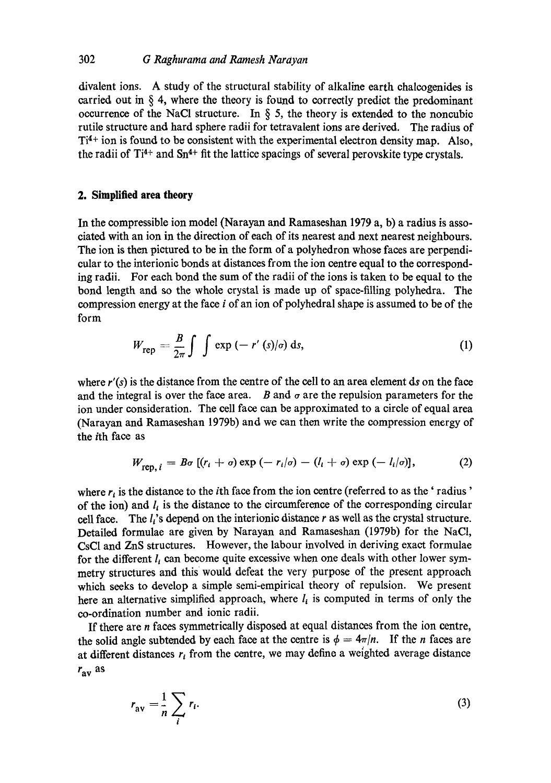divalent ions. A study of the structural stability of alkaline earth chaleogenides is carried out in  $\S$  4, where the theory is found to correctly predict the predominant occurrence of the NaCl structure. In  $\S$  5, the theory is extended to the noncubic rutile structure and hard sphere radii for tetravalent ions are derived. The radius of  $Ti<sup>4+</sup>$  ion is found to be consistent with the experimental electron density map. Also, the radii of  $Ti^{4+}$  and  $Sn^{4+}$  fit the lattice spacings of several perovskite type crystals.

## **2. Simplified area theory**

In the compressible ion model (Narayan and Ramaseshan 1979 a, b) a radius is associated with an ion in the direction of each of its nearest and next nearest neighbours. The ion is then pictured to be in the form of a polyhedron whose faces are perpendicular to the interionic bonds at distances from the ion centre equal to the corresponding radii. For each bond the sum of the radii of the ions is taken to be equal to the bond length and so the whole crystal is made up of space-filling polyhedra. The compression energy at the face i of an ion of polyhedral shape is assumed to be of the form

$$
W_{\text{rep}} = \frac{B}{2\pi} \int \int \exp\left(-\left(r'\left(s\right)/\sigma\right) \, \mathrm{d}s,\tag{1}
$$

where  $r'(s)$  is the distance from the centre of the cell to an area element ds on the face and the integral is over the face area. B and  $\sigma$  are the repulsion parameters for the ion under consideration. The cell face can be approximated to a circle of equal area (Narayan and Ramaseshan 1979b) and we can then write the compression energy of the ith face as

$$
W_{\text{ren. }i} = B\sigma \left[ (r_i + \sigma) \exp \left( -r_i/\sigma \right) - (l_i + \sigma) \exp \left( -l_i/\sigma \right) \right],\tag{2}
$$

where  $r_i$  is the distance to the *i*th face from the ion centre (referred to as the 'radius' of the ion) and  $l_i$  is the distance to the circumference of the corresponding circular cell face. The  $l_i$ 's depend on the interionic distance r as well as the crystal structure. Detailed formulae are given by Narayan and Ramaseshan (1979b) for the NaC1, CsCI and ZnS structures. However, the labour involved in deriving exact formulae for the different  $l_i$  can become quite excessive when one deals with other lower symmetry structures and this would defeat the very purpose of the present approach which seeks to develop a simple semi-empirical theory of repulsion. We present here an alternative simplified approach, where  $l_i$  is computed in terms of only the co-ordination number and ionic radii.

If there are n faces symmetrically disposed at equal distances from the ion centre, the solid angle subtended by each face at the centre is  $\phi = 4\pi/n$ . If the *n* faces are at different distances  $r_i$  from the centre, we may define a weighted average distance  $r_{\rm av}$  as

$$
r_{\rm av} = \frac{1}{n} \sum_{i} r_i. \tag{3}
$$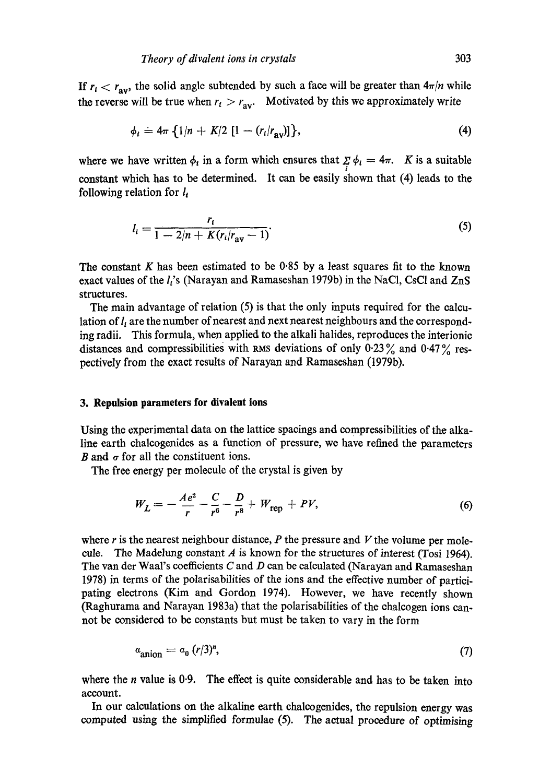If  $r_i < r_{av}$ , the solid angle subtended by such a face will be greater than  $4\pi/n$  while the reverse will be true when  $r_i > r_{av}$ . Motivated by this we approximately write

$$
\phi_i = 4\pi \{1/n + K/2 \, [1 - (r_i/r_{\rm av})]\},\tag{4}
$$

where we have written  $\phi_i$  in a form which ensures that  $\sum_i \phi_i = 4\pi$ . K is a suitable constant which has to be determined. It can be easily shown that (4) leads to the following relation for  $l_i$ 

$$
l_i = \frac{r_i}{1 - 2/n + K(r_i/r_{av} - 1)}.\tag{5}
$$

The constant K has been estimated to be 0.85 by a least squares fit to the known exact values of the  $l_i$ 's (Narayan and Ramaseshan 1979b) in the NaCl, CsCl and ZnS structures.

The main advantage of relation (5) is that the only inputs required for the calculation of  $l_i$  are the number of nearest and next nearest neighbours and the corresponding radii. This formula, when applied to the alkali halides, reproduces the interionic distances and compressibilities with RMS deviations of only  $0.23\%$  and  $0.47\%$  respectively from the exact results of Narayan and Ramaseshan (1979b).

#### **3. Repulsion parameters for divalent ions**

Using the experimental data on the lattice spacings and compressibilities of the alkaline earth chalcogenides as a function of pressure, we have refined the parameters B and  $\sigma$  for all the constituent ions.

The free energy per molecule of the crystal is given by

$$
W_L = -\frac{Ae^2}{r} - \frac{C}{r^6} - \frac{D}{r^8} + W_{\text{rep}} + PV,
$$
 (6)

where r is the nearest neighbour distance,  $P$  the pressure and  $V$  the volume per molecule. The Madelung constant  $A$  is known for the structures of interest (Tosi 1964). The van der Waal's coefficients C and D can be calculated (Narayan and Ramaseshan 1978) in terms of the polarisabilities of the ions and the effective number of participating electrons (Kim and Gordon 1974). However, we have recently shown (Raghurama and Narayan 1983a) that the polarisabiIities of the chalcogen ions cannot be considered to be constants but must be taken to vary in the form

$$
a_{\text{anion}} = a_0 \left( r/3 \right)^n, \tag{7}
$$

where the *n* value is 0.9. The effect is quite considerable and has to be taken into account.

In our calculations on the alkaline earth chalcogenides, the repulsion energy was computed using the simplified formulae (5). The actual procedure of optimising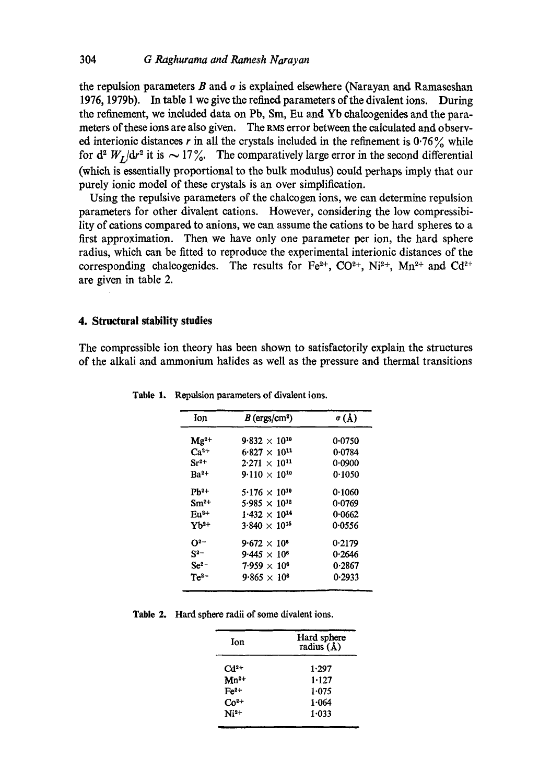the repulsion parameters B and  $\sigma$  is explained elsewhere (Narayan and Ramaseshan 1976, 1979b). In table 1 we give the refined parameters of the divalent ions. During the refinement, we included data on Pb, Sm, Eu and Yb ehaleogenides and the parameters of these ions are also given. The RMS error between the calculated and observed interionic distances r in all the crystals included in the refinement is  $0.76\%$  while for  $d^2 W_L/dr^2$  it is  $\sim 17\%$ . The comparatively large error in the second differential (which is essentially proportional to the bulk modulus) could perhaps imply that our purely ionic model of these crystals is an over simplification.

Using the repulsive parameters of the chalcogen ions, we can determine repulsion parameters for other divalent cations. However, considering the low compressibility of cations compared to anions, we can assume the cations to be hard spheres to a first approximation. Then we have only one parameter per ion, the hard sphere radius, which can be fitted to reproduce the experimental interionic distances of the corresponding chalcogenides. The results for Fe<sup>2+</sup>, CO<sup>2+</sup>, Ni<sup>2+</sup>, Mn<sup>2+</sup> and Cd<sup>2+</sup> are given in table 2.

#### **4. Structural stability studies**

The compressible ion theory has been shown to satisfactorily explain the structures of the alkali and ammonium halides as well as the pressure and thermal transitions

| Ion                | $B$ (ergs/cm <sup>2</sup> )     | $\sigma(\AA)$ |  |
|--------------------|---------------------------------|---------------|--|
| $\mathbf{Mg}^2$ +  | $9.832 \times 10^{10}$          | 0.0750        |  |
| $Ca^{2+}$          | $6.827 \times 10^{11}$          | 0.0784        |  |
| $\mathrm{Sr^{2+}}$ | $2.271 \times 10^{11}$          | 0.0900        |  |
| Ba <sup>2+</sup>   | $9.110 \times 10^{10}$          | 0.1050        |  |
| $Pb^{2+}$          | $5.176 \times 10^{10}$          | 0.1060        |  |
| $Sm^{2+}$          | 5.985 $\times$ 10 <sup>12</sup> | 0.0769        |  |
| $Eu^{2+}$          | $1.432 \times 10^{14}$          | 0.0662        |  |
| Yb <sup>2+</sup>   | $3.840 \times 10^{15}$          | 0.0556        |  |
| O2-                | $9.672 \times 10^{6}$           | 0.2179        |  |
| $S^{2-}$           | $9.445 \times 10^{6}$           | 0.2646        |  |
| $Se^{2-}$          | $7.959 \times 10^{6}$           | 0.2867        |  |
| $Te^{2}$           | $9.865 \times 10^{6}$           | 0.2933        |  |

**Table** I. Repulsion parameters of divalent ions.

**Table 2.** Hard sphere radii of some divalent ions.

| Ion       | Hard sphere<br>radius (A) |  |
|-----------|---------------------------|--|
| $Cd2+$    | 1.297                     |  |
| $Mn^{2+}$ | 1.127                     |  |
| $Fe2+$    | 1.075                     |  |
| $Co2+$    | 1.064                     |  |
| $Ni2+$    | 1.033                     |  |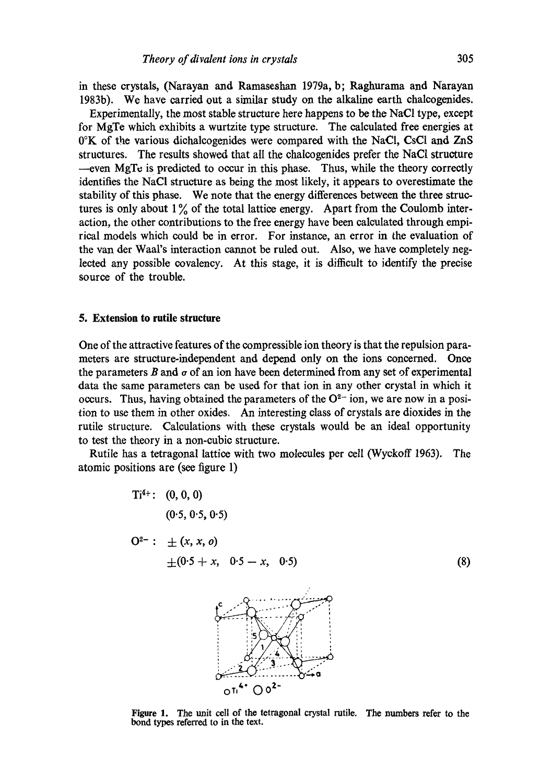in these crystals, (Narayan and Ramaseshan 1979a, b; Raghurama and Narayan 1983b). We have carried out a similar study on the alkaline earth chalcogenides.

Experimentally, the most stable structure here happens to be the NaCI type, except for MgTe which exhibits a wurtzite type structure. The calculated free energies at 0°K of the various dichalcogenides were compared with the NaCI, CsCI and ZnS structures. The results showed that all the ehalcogenides prefer the NaC1 structure --even MgTe is predicted to occur in this phase. Thus, while the theory correctly identifies the NaCI structure as being the most likely, it appears to overestimate the stability of this phase. We note that the energy differences between the three structures is only about  $1\%$  of the total lattice energy. Apart from the Coulomb interaction, the other contributions to the free energy have been calculated through empirical models which could be in error. For instance, an error in the evaluation of the van der Waal's interaction cannot be ruled out. Also, we have completely neglected any possible covalency. At this stage, it is difficult to identify the precise source of the trouble.

## **5. Extension to rutile structure**

One of the attractive features of the compressible ion theory is that the repulsion parameters are structure-independent and depend only on the ions concerned. Once the parameters  $B$  and  $\sigma$  of an ion have been determined from any set of experimental data the same parameters can be used for that ion in any other crystal in which it occurs. Thus, having obtained the parameters of the  $O^{2-}$  ion, we are now in a position to use them in other oxides. An interesting class of crystals are dioxides in the rutile structure. Calculations with these crystals would be an ideal opportunity to test the theory in a non-cubic structure.

Rutile has a tetragonal lattice with two molecules per cell (Wyckoff 1963). The atomic positions are (see figure 1)



Figure 1. The unit cell of the tetragonal crystal rutile. The numbers refer to the bond types referred to in the text.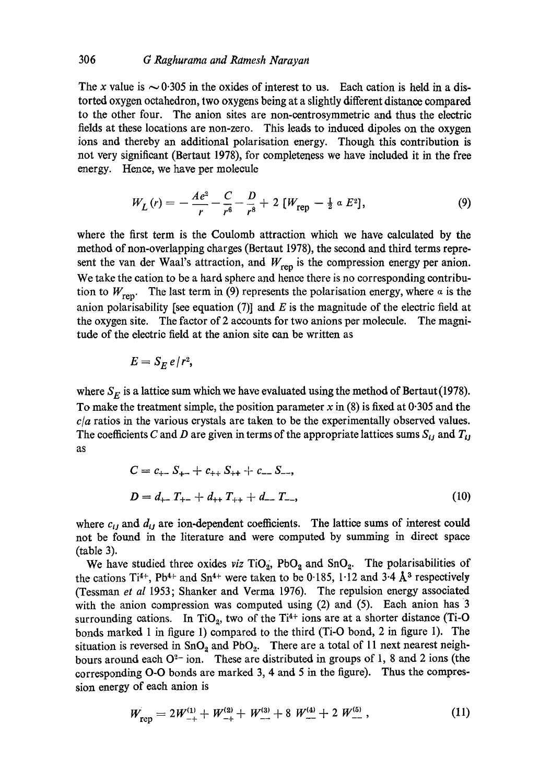The x value is  $\sim 0.305$  in the oxides of interest to us. Each cation is held in a distorted oxygen octahedron, two oxygens being at a slightly different distance compared to the other four. The anion sites are non-eentrosymmetric and thus the electric fields at these locations are non-zero. This leads to induced dipoles on the oxygen ions and thereby an additional polarisation energy. Though this contribution is not very significant (Bertaut 1978), for completeness we have included it in the free energy. Hence, we have per molecule

$$
W_L(r) = -\frac{Ae^2}{r} - \frac{C}{r^6} - \frac{D}{r^8} + 2 \left[ W_{\text{rep}} - \frac{1}{2} \alpha E^2 \right],
$$
 (9)

where the first term is the Coulomb attraction which we have calculated by the method of non-overlapping charges (Bertaut 1978), the second and third terms represent the van der Waal's attraction, and  $W_{\text{rep}}$  is the compression energy per anion. We take the cation to be a hard sphere and hence there is no corresponding contribution to  $W_{\text{ren}}$ . The last term in (9) represents the polarisation energy, where  $\alpha$  is the anion polarisability [see equation  $(7)$ ] and E is the magnitude of the electric field at the oxygen site. The factor of 2 accounts for two anions per molecule. The magnitude of the electric field at the anion site can be written as

$$
E=S_E e/r^2,
$$

where  $S_E$  is a lattice sum which we have evaluated using the method of Bertaut (1978). To make the treatment simple, the position parameter  $x$  in (8) is fixed at 0.305 and the *c/a* ratios in the various crystals are taken to be the experimentally observed values. The coefficients C and D are given in terms of the appropriate lattices sums  $S_{ij}$  and  $T_{ij}$ as

$$
C = c_{+-} S_{+-} + c_{++} S_{++} + c_{--} S_{--},
$$
  
\n
$$
D = d_{+-} T_{+-} + d_{++} T_{++} + d_{--} T_{--},
$$
\n(10)

where  $c_{ij}$  and  $d_{ij}$  are ion-dependent coefficients. The lattice sums of interest could not be found in the literature and were computed by summing in direct space (table 3).

We have studied three oxides *viz*  $TiO<sub>2</sub>$ ,  $PbO<sub>2</sub>$  and  $SnO<sub>2</sub>$ . The polarisabilities of the cations Ti<sup>4+</sup>, Pb<sup>4+</sup> and Sn<sup>4+</sup> were taken to be 0.185, 1.12 and 3.4  $\AA$ <sup>3</sup> respectively (Tessman *et al* 1953; Shanker and Verma 1976). The repulsion energy associated with the anion compression was computed using  $(2)$  and  $(5)$ . Each anion has 3 surrounding cations. In TiO<sub>2</sub>, two of the Ti<sup>4+</sup> ions are at a shorter distance (Ti-O bonds marked 1 in figure l) compared to the third (Ti-O bond, 2 in figure 1). The situation is reversed in  $SnO<sub>2</sub>$  and PbO<sub>2</sub>. There are a total of 11 next nearest neighbours around each  $O^{2-}$  ion. These are distributed in groups of 1, 8 and 2 ions (the corresponding O-O bonds are marked 3, 4 and 5 in the figure). Thus the compression energy of each anion is

$$
W_{\text{rep}} = 2W_{-+}^{(1)} + W_{-+}^{(2)} + W_{--}^{(3)} + 8 W_{--}^{(4)} + 2 W_{--}^{(5)} , \qquad (11)
$$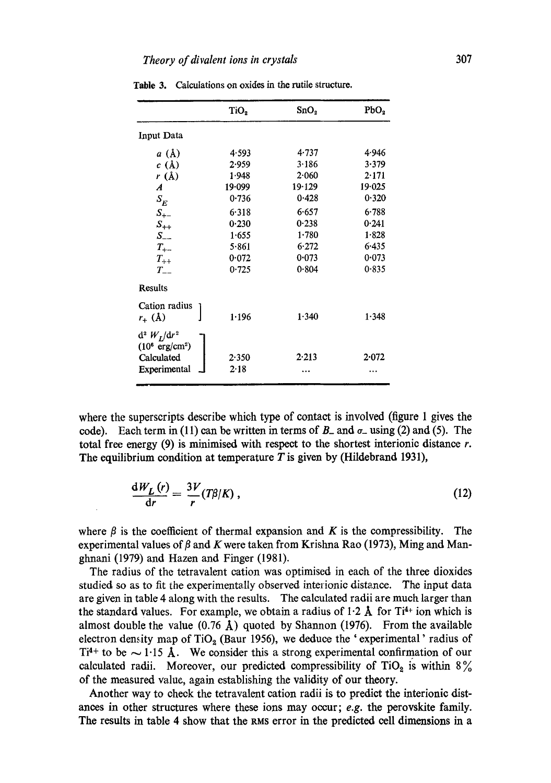|                                             | TiO <sub>2</sub> | SnO <sub>2</sub> | PbO <sub>2</sub> |
|---------------------------------------------|------------------|------------------|------------------|
| Input Data                                  |                  |                  |                  |
| a(A)                                        | 4.593            | 4.737            | 4.946            |
| c(A)                                        | 2.959            | 3.186            | 3.379            |
| $r(\text{\AA})$                             | 1.948            | 2.060            | 2.171            |
| $\boldsymbol{A}$                            | 19.099           | 19.129           | 19.025           |
| $S_E$                                       | 0.736            | 0.428            | 0.320            |
| $S_{+-}$                                    | 6.318            | 6.657            | 6.788            |
| $S_{++}$                                    | 0.230            | 0.238            | 0.241            |
| $S_{--}$                                    | 1.655            | 1.780            | 1.828            |
| $T_{+-}$                                    | 5.861            | 6.272            | 6.435            |
| $T_{++}$                                    | 0.072            | 0.073            | 0.073            |
| $T_{--}$                                    | 0.725            | 0.804            | 0.835            |
| <b>Results</b>                              |                  |                  |                  |
| Cation radius<br>$r_{-}(\lambda)$           | 1.196            | 1.340            | 1.348            |
| $d^2 W_I/dr^2$<br>$(10^6 \text{ erg/cm}^2)$ |                  |                  |                  |
| Calculated                                  | 2.350            | 2.213            | 2.072            |
| Experimental                                | 2.18             |                  | .                |

Table 3. Calculations on oxides in the rutile structure.

where the superscripts describe which type of contact is involved (figure 1 gives the code). Each term in (11) can be written in terms of  $B_$  and  $\sigma_$  using (2) and (5). The total free energy  $(9)$  is minimised with respect to the shortest interionic distance r. The equilibrium condition at temperature  $T$  is given by (Hildebrand 1931),

$$
\frac{dW_L(r)}{dr} = \frac{3V}{r}(T\beta/K) \,, \tag{12}
$$

where  $\beta$  is the coefficient of thermal expansion and K is the compressibility. The experimental values of  $\beta$  and K were taken from Krishna Rao (1973), Ming and Manghnani (1979) and Hazen and Finger (1981).

The radius of the tetravalent cation was optimised in each of the three dioxides studied so as to fit the experimentally observed interionie distance. The input data are given in table 4 along with the results. The calculated radii are much larger than the standard values. For example, we obtain a radius of  $1.2 \text{ Å}$  for Ti<sup>4+</sup> ion which is almost double the value  $(0.76 \text{ Å})$  quoted by Shannon (1976). From the available electron density map of TiO<sub>2</sub> (Baur 1956), we deduce the 'experimental' radius of Ti<sup>4+</sup> to be  $\sim$  1.15 Å. We consider this a strong experimental confirmation of our calculated radii. Moreover, our predicted compressibility of TiO<sub>2</sub> is within  $8\%$ of the measured value, again establishing the validity of our theory.

Another way to check the tetravalent cation radii is to predict the interionie distances in other structures where these ions may occur; *e.g.* the perovskite family. The results in table 4 show that the RMS error in the predicted cell dimensions in a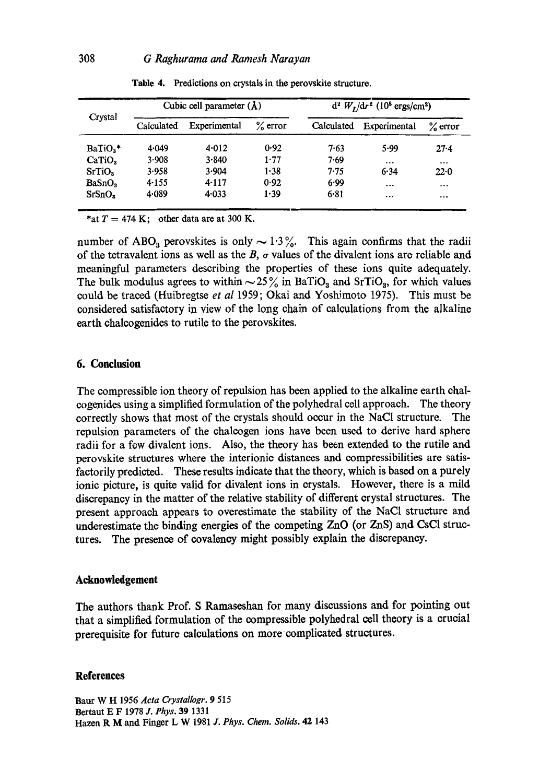| Crystal              | Cubic cell parameter $(A)$ |              | $d^2 W_I/dr^2$ (10 <sup>5</sup> ergs/cm <sup>2</sup> ) |            |              |            |
|----------------------|----------------------------|--------------|--------------------------------------------------------|------------|--------------|------------|
|                      | Calculated                 | Experimental | $%$ error                                              | Calculated | Experimental | $\%$ error |
| BaTiO <sub>3</sub> * | 4.049                      | 4.012        | 0.92                                                   | 7.63       | 5.99         | 27.4       |
| CaTiO <sub>3</sub>   | 3.908                      | $3 - 840$    | 1.77                                                   | 7.69       |              |            |
| SrTiO <sub>3</sub>   | 3.958                      | 3.904        | 1.38                                                   | 7.75       | 6.34         | 22.0       |
| BaSnO <sub>3</sub>   | 4.155                      | 4.117        | 0.92                                                   | 6.99       | $\cdots$     | $\cdots$   |
| SrSnO <sub>3</sub>   | 4.089                      | 4.033        | 1.39                                                   | 6.81       |              |            |
|                      |                            |              |                                                        |            |              |            |

Table 4. Predictions on crystals in the perovskite structure.

\*at  $T = 474$  K; other data are at 300 K.

number of ABO<sub>3</sub> perovskites is only  $\sim$  1.3%. This again confirms that the radii of the tetravalent ions as well as the  $B$ ,  $\sigma$  values of the divalent ions are reliable and meaningful parameters describing the properties of these ions quite adequately. The bulk modulus agrees to within  $\sim$  25% in BaTiO<sub>3</sub> and SrTiO<sub>3</sub>, for which values could be traced (Huibregtse *et al* 1959; Okai and Yoshimoto 1975). This must be considered satisfactory in view of the long chain of calculations from the alkaline earth chaleogenides to rutile to the perovskites.

### **6. Conclusion**

The compressible ion theory of repulsion has been applied to the alkaline earth chaleogenides using a simplified formulation of the polyhedral cell approach. The theory correctly shows that most of the crystals should occur in the NaC1 structure. The repulsion parameters of the chalcogen ions have been used to derive hard sphere radii for a few divalent ions. Also, the theory has been extended to the rutile and perovskite structures where the interionie distances and eompressibilities are satisfactorily predicted. These results indicate that the theory, which is based on a purely ionic picture, is quite valid for divalent ions in crystals. However, there is a mild discrepancy in the matter of the relative stability of different crystal structures. The present approach appears to overestimate the stability of the NaC1 structure and underestimate the binding energies of the competing ZnO (or ZnS) and CsC1 structures. The presence of covalency might possibly explain the discrepancy.

### **Acknowledgement**

The authors thank Prof. S Ramaseshan for many discussions and for pointing out that a simplified formulation of the compressible polyhedral cell theory is a crucial prerequisite for future calculations on more complicated structures.

#### **References**

Baur W H 1956 *Acta Crystallogr.* 9 515 Bertaut E F 1978 *J. Phys.* 39 1331 Hazen R M and Finger L W 1981 *J. Phys. Chem. Solids.* 42 143